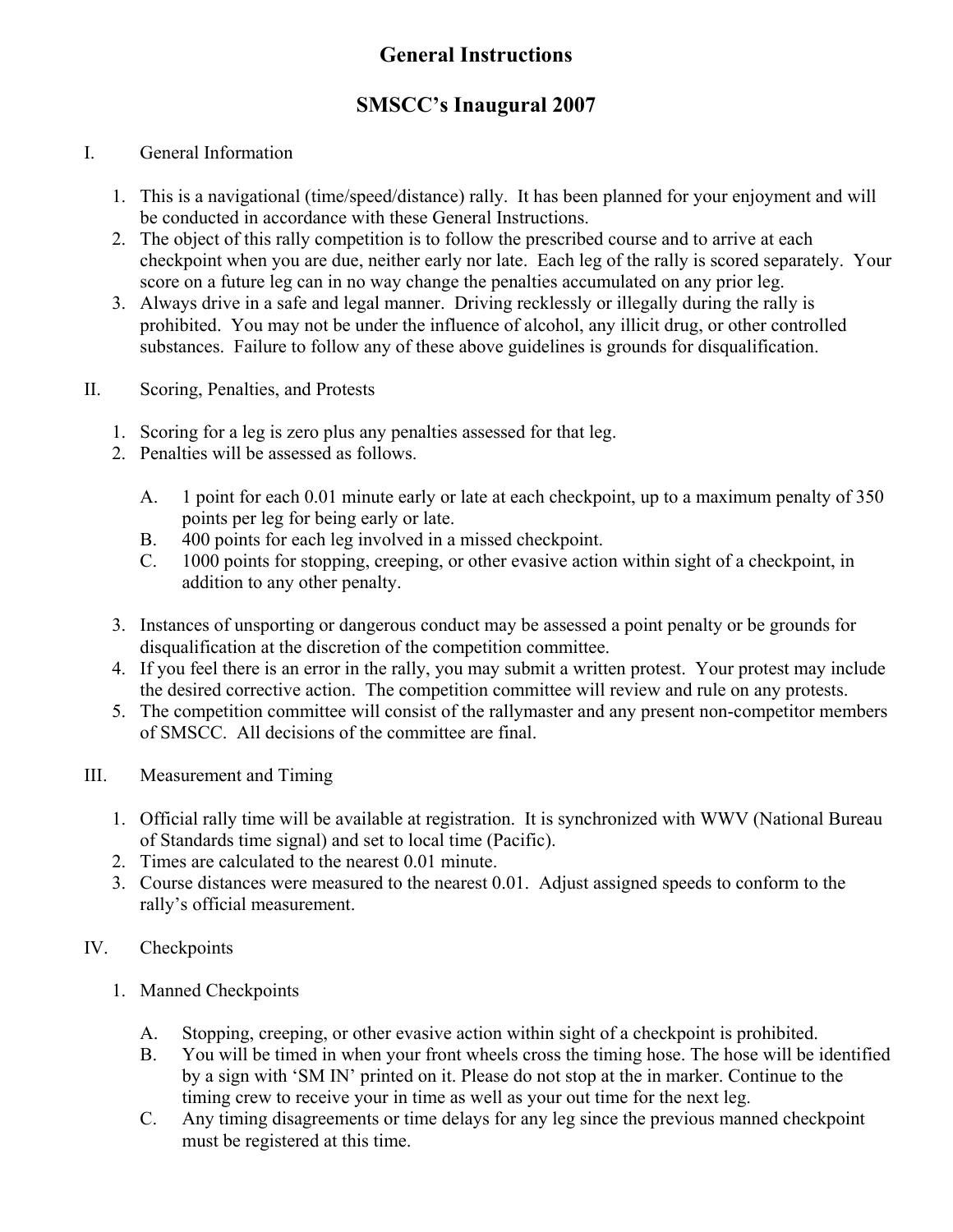# **General Instructions**

## **SMSCC's Inaugural 2007**

#### I. General Information

- 1. This is a navigational (time/speed/distance) rally. It has been planned for your enjoyment and will be conducted in accordance with these General Instructions.
- 2. The object of this rally competition is to follow the prescribed course and to arrive at each checkpoint when you are due, neither early nor late. Each leg of the rally is scored separately. Your score on a future leg can in no way change the penalties accumulated on any prior leg.
- 3. Always drive in a safe and legal manner. Driving recklessly or illegally during the rally is prohibited. You may not be under the influence of alcohol, any illicit drug, or other controlled substances. Failure to follow any of these above guidelines is grounds for disqualification.
- II. Scoring, Penalties, and Protests
	- 1. Scoring for a leg is zero plus any penalties assessed for that leg.
	- 2. Penalties will be assessed as follows.
		- A. 1 point for each 0.01 minute early or late at each checkpoint, up to a maximum penalty of 350 points per leg for being early or late.
		- B. 400 points for each leg involved in a missed checkpoint.
		- C. 1000 points for stopping, creeping, or other evasive action within sight of a checkpoint, in addition to any other penalty.
	- 3. Instances of unsporting or dangerous conduct may be assessed a point penalty or be grounds for disqualification at the discretion of the competition committee.
	- 4. If you feel there is an error in the rally, you may submit a written protest. Your protest may include the desired corrective action. The competition committee will review and rule on any protests.
	- 5. The competition committee will consist of the rallymaster and any present non-competitor members of SMSCC. All decisions of the committee are final.
- III. Measurement and Timing
	- 1. Official rally time will be available at registration. It is synchronized with WWV (National Bureau of Standards time signal) and set to local time (Pacific).
	- 2. Times are calculated to the nearest 0.01 minute.
	- 3. Course distances were measured to the nearest 0.01. Adjust assigned speeds to conform to the rally's official measurement.
- IV. Checkpoints
	- 1. Manned Checkpoints
		- A. Stopping, creeping, or other evasive action within sight of a checkpoint is prohibited.
		- B. You will be timed in when your front wheels cross the timing hose. The hose will be identified by a sign with 'SM IN' printed on it. Please do not stop at the in marker. Continue to the timing crew to receive your in time as well as your out time for the next leg.
		- C. Any timing disagreements or time delays for any leg since the previous manned checkpoint must be registered at this time.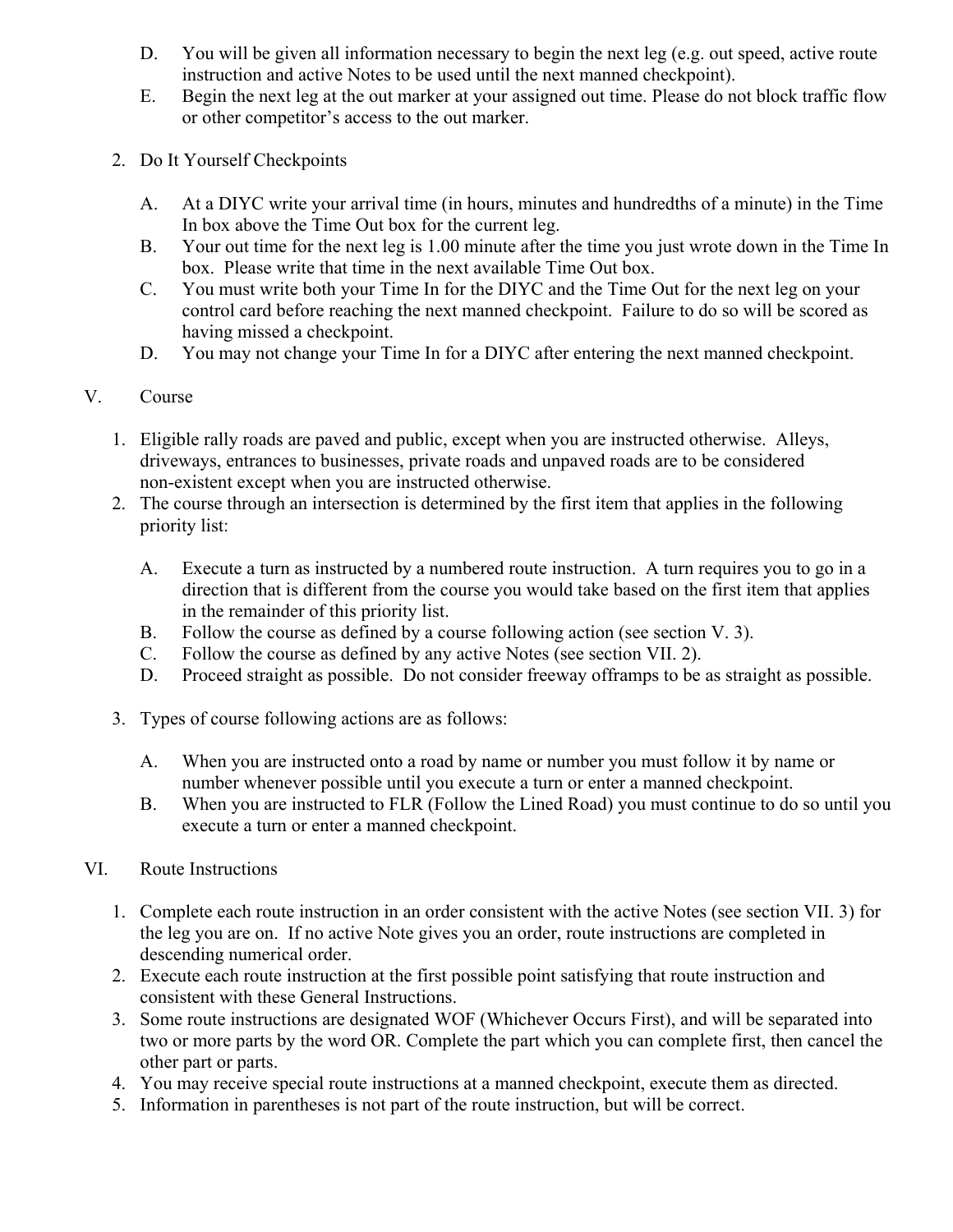- D. You will be given all information necessary to begin the next leg (e.g. out speed, active route instruction and active Notes to be used until the next manned checkpoint).
- E. Begin the next leg at the out marker at your assigned out time. Please do not block traffic flow or other competitor's access to the out marker.
- 2. Do It Yourself Checkpoints
	- A. At a DIYC write your arrival time (in hours, minutes and hundredths of a minute) in the Time In box above the Time Out box for the current leg.
	- B. Your out time for the next leg is 1.00 minute after the time you just wrote down in the Time In box. Please write that time in the next available Time Out box.
	- C. You must write both your Time In for the DIYC and the Time Out for the next leg on your control card before reaching the next manned checkpoint. Failure to do so will be scored as having missed a checkpoint.
	- D. You may not change your Time In for a DIYC after entering the next manned checkpoint.

#### V. Course

- 1. Eligible rally roads are paved and public, except when you are instructed otherwise. Alleys, driveways, entrances to businesses, private roads and unpaved roads are to be considered non-existent except when you are instructed otherwise.
- 2. The course through an intersection is determined by the first item that applies in the following priority list:
	- A. Execute a turn as instructed by a numbered route instruction. A turn requires you to go in a direction that is different from the course you would take based on the first item that applies in the remainder of this priority list.
	- B. Follow the course as defined by a course following action (see section V. 3).
	- C. Follow the course as defined by any active Notes (see section VII. 2).
	- D. Proceed straight as possible. Do not consider freeway offramps to be as straight as possible.
- 3. Types of course following actions are as follows:
	- A. When you are instructed onto a road by name or number you must follow it by name or number whenever possible until you execute a turn or enter a manned checkpoint.
	- B. When you are instructed to FLR (Follow the Lined Road) you must continue to do so until you execute a turn or enter a manned checkpoint.
- VI. Route Instructions
	- 1. Complete each route instruction in an order consistent with the active Notes (see section VII. 3) for the leg you are on. If no active Note gives you an order, route instructions are completed in descending numerical order.
	- 2. Execute each route instruction at the first possible point satisfying that route instruction and consistent with these General Instructions.
	- 3. Some route instructions are designated WOF (Whichever Occurs First), and will be separated into two or more parts by the word OR. Complete the part which you can complete first, then cancel the other part or parts.
	- 4. You may receive special route instructions at a manned checkpoint, execute them as directed.
	- 5. Information in parentheses is not part of the route instruction, but will be correct.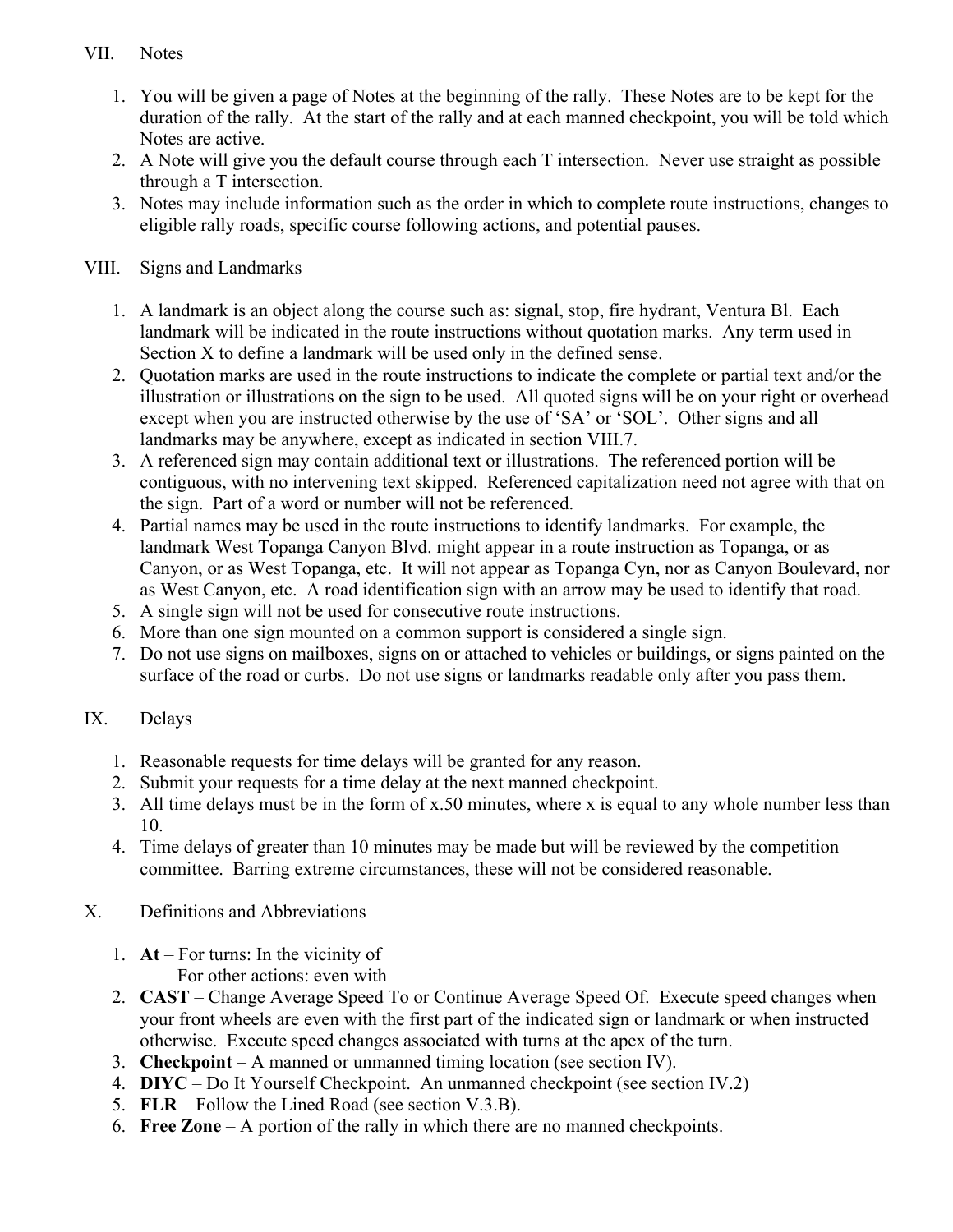## VII. Notes

- 1. You will be given a page of Notes at the beginning of the rally. These Notes are to be kept for the duration of the rally. At the start of the rally and at each manned checkpoint, you will be told which Notes are active.
- 2. A Note will give you the default course through each T intersection. Never use straight as possible through a T intersection.
- 3. Notes may include information such as the order in which to complete route instructions, changes to eligible rally roads, specific course following actions, and potential pauses.

#### VIII. Signs and Landmarks

- 1. A landmark is an object along the course such as: signal, stop, fire hydrant, Ventura Bl. Each landmark will be indicated in the route instructions without quotation marks. Any term used in Section X to define a landmark will be used only in the defined sense.
- 2. Quotation marks are used in the route instructions to indicate the complete or partial text and/or the illustration or illustrations on the sign to be used. All quoted signs will be on your right or overhead except when you are instructed otherwise by the use of 'SA' or 'SOL'. Other signs and all landmarks may be anywhere, except as indicated in section VIII.7.
- 3. A referenced sign may contain additional text or illustrations. The referenced portion will be contiguous, with no intervening text skipped. Referenced capitalization need not agree with that on the sign. Part of a word or number will not be referenced.
- 4. Partial names may be used in the route instructions to identify landmarks. For example, the landmark West Topanga Canyon Blvd. might appear in a route instruction as Topanga, or as Canyon, or as West Topanga, etc. It will not appear as Topanga Cyn, nor as Canyon Boulevard, nor as West Canyon, etc. A road identification sign with an arrow may be used to identify that road.
- 5. A single sign will not be used for consecutive route instructions.
- 6. More than one sign mounted on a common support is considered a single sign.
- 7. Do not use signs on mailboxes, signs on or attached to vehicles or buildings, or signs painted on the surface of the road or curbs. Do not use signs or landmarks readable only after you pass them.

## IX. Delays

- 1. Reasonable requests for time delays will be granted for any reason.
- 2. Submit your requests for a time delay at the next manned checkpoint.
- 3. All time delays must be in the form of x.50 minutes, where x is equal to any whole number less than 10.
- 4. Time delays of greater than 10 minutes may be made but will be reviewed by the competition committee. Barring extreme circumstances, these will not be considered reasonable.
- X. Definitions and Abbreviations
	- 1. **At** For turns: In the vicinity of For other actions: even with
	- 2. **CAST** Change Average Speed To or Continue Average Speed Of. Execute speed changes when your front wheels are even with the first part of the indicated sign or landmark or when instructed otherwise. Execute speed changes associated with turns at the apex of the turn.
	- 3. **Checkpoint** A manned or unmanned timing location (see section IV).
	- 4. **DIYC** Do It Yourself Checkpoint. An unmanned checkpoint (see section IV.2)
	- 5. **FLR** Follow the Lined Road (see section V.3.B).
	- 6. **Free Zone** A portion of the rally in which there are no manned checkpoints.